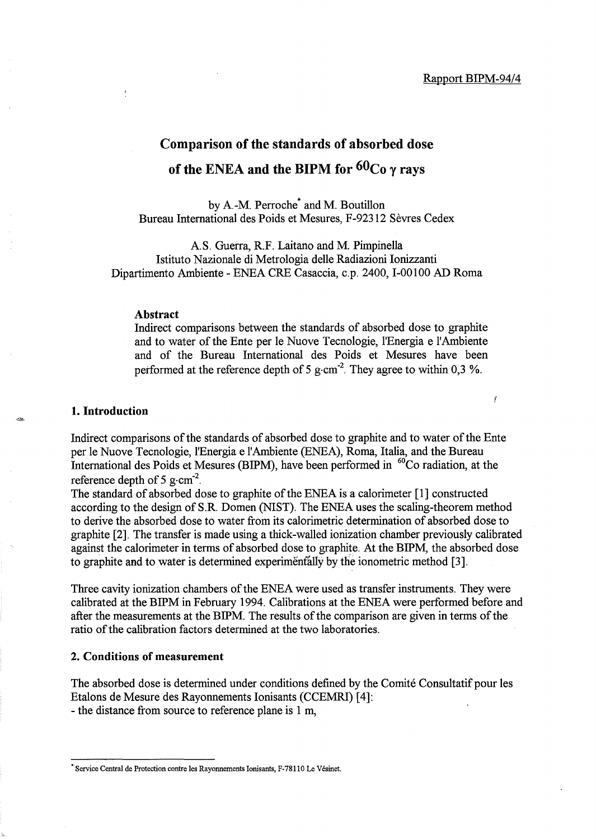Ĭ

# **Comparison of the standards of absorbed dose of the ENEA and the BIPM for 60Co y rays**

by A-M. Perroche\* and M. Boutillon Bureau International des Poids et Mesures, F-92312 Sevres Cedex

AS. Guerra, RF. Laitano and M. Pimpinella Istituto Nazionale di Metrologia delle Radiazioni lonizzanti Dipartimento Ambiente - ENEA CRE Casaccia, c.p. 2400, 1-00100 AD Roma

#### **Abstract**

Indirect comparisons between the standards of absorbed dose to graphite and to water of the Ente per le Nuove Tecnologie, l'Energia e l'Ambiente and of the Bureau International des Poids et Mesures have been performed at the reference depth of 5 g $\cdot$ cm<sup>-2</sup>. They agree to within 0,3 %.

## **1. Introduction**

Indirect comparisons of the standards of absorbed dose to graphite and to water of the Ente per le Nuove Tecnologie, l'Energia e l'Ambiente (ENEA), Roma, Italia, and the Bureau International des Poids et Mesures (BIPM), have been performed in <sup>60</sup>Co radiation, at the reference depth of 5 g $\cdot$ cm<sup>-2</sup>.

The standard of absorbed dose to graphite of the ENEA is a calorimeter [1] constructed according to the design of S.R Domen (NIST). The ENEA uses the scaling-theorem method to derive the absorbed dose to water from its calorimetric determination of absorbed dose to graphite [2]. The transfer is made using a thick-walled ionization chamber previously calibrated against the calorimeter in terms of absorbed dose to graphite. At the BIPM, the absorbed dose to graphite and to water is determined experimentally by the ionometric method [3].

Three cavity ionization chambers of the ENEA were used as transfer instruments. They were calibrated at the BIPM in February 1994. Calibrations at the ENEA were performed before and after the measurements at the BIPM. The results of the comparison are given in terms of the ratio of the calibration factors determined at the two laboratories.

## **2. Conditions of measurement**

The absorbed dose is determined under conditions defined by the Comite Consultatif pour les Etalons de Mesure des Rayonnements lonisants (CCEMRI) [4]: - the distance from source to reference plane is 1 m,

<sup>•</sup> Service Central de Protection contre les Rayonnements Ionisants, F-7811 0 Le Vesinet.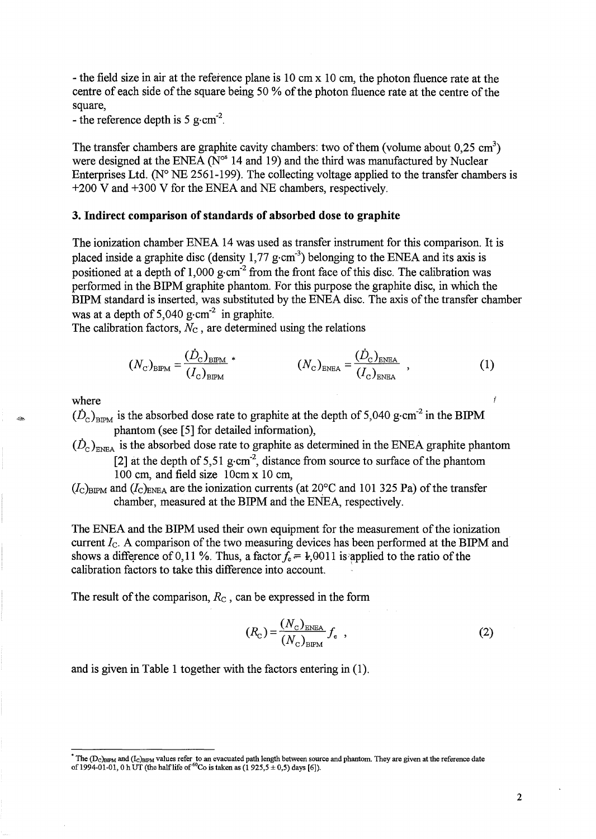- the field size in air at the reference plane is 10 cm x 10 cm, the photon fluence rate at the centre of each side of the square being 50 % of the photon fluence rate at the centre of the square,

- the reference depth is 5 g $\cdot$ cm<sup>-2</sup>.

The transfer chambers are graphite cavity chambers: two of them (volume about  $0.25 \text{ cm}^3$ ) were designed at the ENEA ( $N^{\circ}$  14 and 19) and the third was manufactured by Nuclear Enterprises Ltd. ( $N^{\circ}$  NE 2561-199). The collecting voltage applied to the transfer chambers is +200 V and +300 V for the ENEA and NE chambers, respectively.

## 3. Indirect comparison of standards of absorbed dose to graphite

The ionization chamber ENEA 14 was used as transfer instrument for this comparison. It is placed inside a graphite disc (density  $1,77$  g·cm<sup>-3</sup>) belonging to the ENEA and its axis is positioned at a depth of 1,000 g $\text{cm}^2$  from the front face of this disc. The calibration was performed in the BIPM graphite phantom. For this purpose the graphite disc, in which the BIPM standard is inserted, was substituted by the ENEA disc. The axis of the transfer chamber was at a depth of  $5,040$  g·cm<sup>-2</sup> in graphite.

The calibration factors,  $N_c$ , are determined using the relations

$$
(N_{\rm c})_{\rm BIPM} = \frac{(\dot{D}_{\rm c})_{\rm BIPM}}{(I_{\rm c})_{\rm BIPM}}^* \tag{1}
$$

where

- $(D_c)_{BPM}$  is the absorbed dose rate to graphite at the depth of 5,040 g·cm<sup>-2</sup> in the BIPM phantom (see [5] for detailed information),
- $(\dot{D}_{\rm c})_{\rm ENEA}$  is the absorbed dose rate to graphite as determined in the ENEA graphite phantom [2] at the depth of 5,51 g·cm<sup>-2</sup>, distance from source to surface of the phantom 100 cm, and field size 10cm x 10 cm,
- $(l_c)_{\text{BIPM}}$  and  $(l_c)_{\text{ENEA}}$  are the ionization currents (at 20 $\textdegree$ C and 101 325 Pa) of the transfer chamber, measured at the BIPM and the ENEA, respectively.

The ENEA and the BIPM used their own equipment for the measurement of the ionization current *le.* A comparison of the two measuring devices has been performed at the BIPM and shows a difference of 0, 11 %. Thus, a factor  $f_e = 1,0011$  is applied to the ratio of the calibration factors to take this difference into account. '

The result of the comparison, *Re* , can be expressed in the form

$$
(R_{\rm C}) = \frac{(N_{\rm C})_{\rm ENEA}}{(N_{\rm C})_{\rm BEM}} f_{\rm e} \quad , \tag{2}
$$

and is given in Table 1 together with the factors entering in (1) .

The (D<sub>C)BIPM</sub> and (I<sub>C)BIPM</sub> values refer to an evacuated path length between source and phantom. They are given at the reference date<br>of 1994-01-01, 0 h UT (the half life of <sup>60</sup>Co is taken as (1 925,5 ± 0,5) days [6]).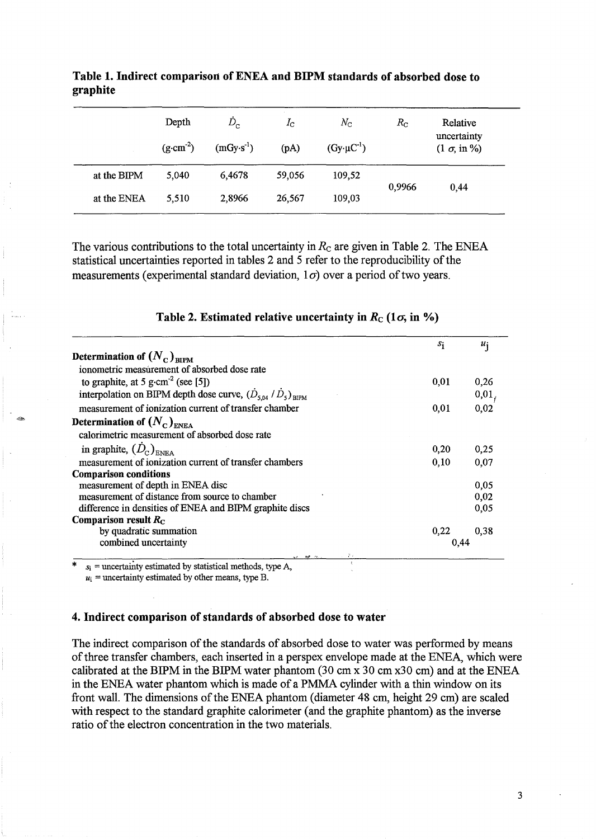|             | Depth<br>$(g \cdot cm^{-2})$ | $D_{\rm c}$<br>$(mGy·s^{-1})$ | $I_{\rm C}$<br>(pA) | $N_{\rm C}$<br>$(Gy \cdot \mu C^{-1})$ | $R_{\rm C}$ | Relative<br>uncertainty<br>$(1 \sigma, in \%)$ |
|-------------|------------------------------|-------------------------------|---------------------|----------------------------------------|-------------|------------------------------------------------|
| at the BIPM | 5,040                        | 6.4678                        | 59,056              | 109,52                                 | 0,9966      |                                                |
| at the ENEA | 5,510                        | 2,8966                        | 26,567              | 109,03                                 |             | 0,44                                           |

Table 1. Indirect comparison of ENEA and BIPM standards of absorbed dose to graphite

The various contributions to the total uncertainty in  $R<sub>C</sub>$  are given in Table 2. The ENEA statistical uncertainties reported in tables 2 and 5 refer to the reproducibility of the measurements (experimental standard deviation,  $1\sigma$ ) over a period of two years.

|                                                                   | $s_i$ | $u_i$ |
|-------------------------------------------------------------------|-------|-------|
| Determination of $(N_c)_{\text{BIPM}}$                            |       |       |
| ionometric measurement of absorbed dose rate                      |       |       |
| to graphite, at 5 g·cm <sup>-2</sup> (see [5])                    | 0,01  | 0,26  |
| interpolation on BIPM depth dose curve, $(D_{s,04} / D_s)_{BIPM}$ |       | 0,01, |
| measurement of ionization current of transfer chamber             | 0.01  | 0,02  |
| Determination of $(N_c)_{\text{\tiny ENEA}}$                      |       |       |
| calorimetric measurement of absorbed dose rate                    |       |       |
| in graphite, $(D_c)_{\text{ENFA}}$                                | 0,20  | 0,25  |
| measurement of ionization current of transfer chambers            | 0,10  | 0.07  |
| <b>Comparison conditions</b>                                      |       |       |
| measurement of depth in ENEA disc                                 |       | 0,05  |
| measurement of distance from source to chamber                    |       | 0,02  |
| difference in densities of ENEA and BIPM graphite discs           |       | 0,05  |
| Comparison result $R_C$                                           |       |       |
| by quadratic summation                                            | 0,22  | 0.38  |
| combined uncertainty                                              | 0.44  |       |

# Table 2. Estimated relative uncertainty in  $R_c$  (1 $\sigma$ , in %)

 $s_i$  = uncertainty estimated by statistical methods, type A,

 $u_i$  = uncertainty estimated by other means, type B.

-

#### 4. Indirect comparison of standards of absorbed dose to water

The indirect comparison of the standards of absorbed dose to water was performed by means of three transfer chambers, each inserted in a perspex envelope made at the ENEA, which were calibrated at the BIPM in the BIPM water phantom (30 cm x 30 cm x30 cm) and at the ENEA in the ENEA water phantom which is made of a PMMA cylinder with a thin window on its front wall. The dimensions of the ENEA phantom (diameter 48 cm, height 29 cm) are scaled with respect to the standard graphite calorimeter (and the graphite phantom) as the inverse ratio of the electron concentration in the two materials.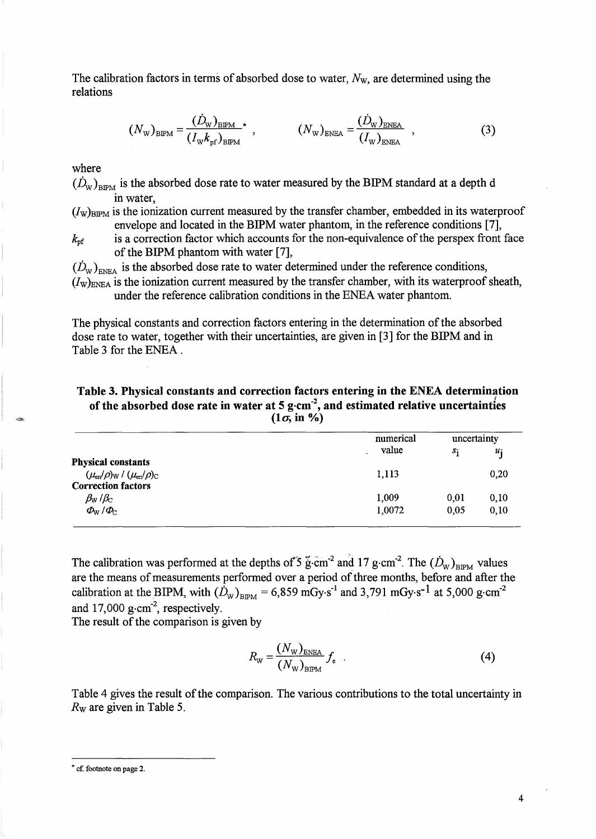The calibration factors in terms of absorbed dose to water, *Nw,* are determined using the relations

$$
(N_{\rm w})_{\rm BIPM} = \frac{(\dot{D}_{\rm w})_{\rm BIPM}}{(I_{\rm w}k_{\rm pf})_{\rm BIPM}}^* , \qquad (N_{\rm w})_{\rm ENEA} = \frac{(\dot{D}_{\rm w})_{\rm ENEA}}{(I_{\rm w})_{\rm ENEA}} , \qquad (3)
$$

where

 $(\dot{D}_{\rm w})_{\rm BIPM}$  is the absorbed dose rate to water measured by the BIPM standard at a depth d in water,

 $(I_w)_{BIPM}$  is the ionization current measured by the transfer chamber, embedded in its waterproof envelope and located in the BIPM water phantom, in the reference conditions [7],

 $k_{\text{pf}}$  is a correction factor which accounts for the non-equivalence of the perspex front face of the BIPM phantom with water [7],

 $(D_w)_{\text{ENFA}}$  is the absorbed dose rate to water determined under the reference conditions,  $(I_w)_{ENEA}$  is the ionization current measured by the transfer chamber, with its waterproof sheath, under the reference calibration conditions in the ENEA water phantom.

The physical constants and correction factors entering in the determination of the absorbed dose rate to water, together with their uncertainties, are given in [3] for the BIPM and in Table 3 for the ENEA .

Table 3. Physical constants and correction factors entering in the ENEA determination / of the absorbed dose rate in water at 5 g $\cdot$ cm<sup>-2</sup>, and estimated relative uncertainties  $(1\sigma, in \%)$ 

|                                                               | numerical | uncertainty |       |
|---------------------------------------------------------------|-----------|-------------|-------|
|                                                               | value     | $S_1$       | $u_i$ |
| <b>Physical constants</b>                                     |           |             |       |
| $(\mu_{\rm en}/\rho)_{\rm W}$ / $(\mu_{\rm en}/\rho)_{\rm C}$ | 1,113     |             | 0,20  |
| <b>Correction factors</b>                                     |           |             |       |
| $\beta_{\rm W}$ / $\beta_{\rm C}$                             | 1,009     | 0,01        | 0,10  |
| $\Phi_{\rm W}/\Phi_{\rm C}$                                   | 1,0072    | 0,05        | 0,10  |
|                                                               |           |             |       |

The calibration was performed at the depths of 5  $\ddot{\text{g}}\cdot\text{cm}^{-2}$  and 17 g $\cdot\text{cm}^{-2}$ . The  $(D_{\text{w}})_{\text{BIPM}}$  values are the means of measurements performed over a period of three months, before and after the calibration at the BIPM, with  $(\dot{D}_{\text{W}})_{\text{BIPM}} = 6,859 \text{ mGy·s}^{-1}$  and 3,791 mGy·s<sup>-1</sup> at 5,000 g·cm<sup>-2</sup> and  $17,000$  g·cm<sup>-2</sup>, respectively.

The result of the comparison is given by

$$
R_{\rm w} = \frac{(N_{\rm w})_{\rm ENIEA}}{(N_{\rm w})_{\rm BIPM}} f_{\rm e} \quad . \tag{4}
$$

Table 4 gives the result of the comparison. The various contributions to the total uncertainty in *Rw* are given in Table 5 .

<sup>•</sup> ef. footnote on page 2.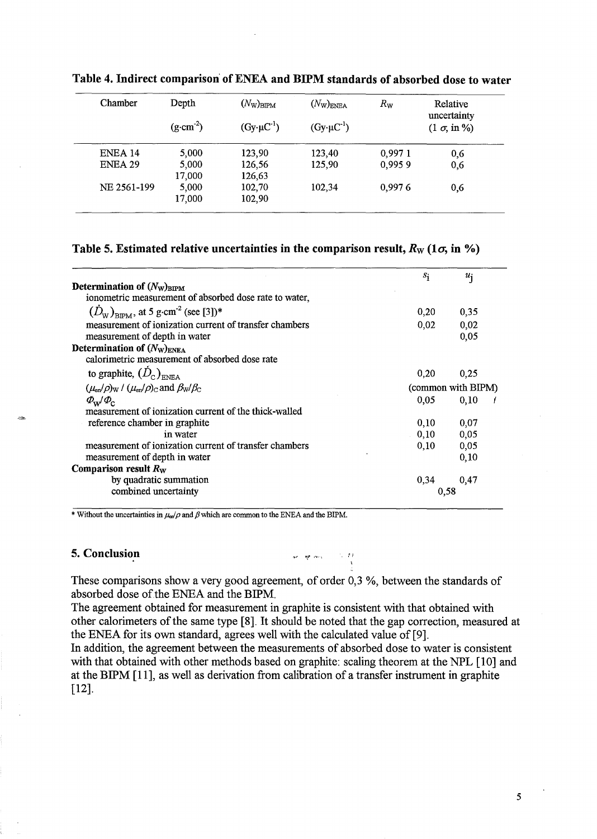| Chamber     | Depth               | $(N_{\rm W})_{\rm BIPM}$ | $(N_{\text{W}})_{\text{ENEA}}$ | $R_{\rm W}$ | Relative<br>uncertainty |
|-------------|---------------------|--------------------------|--------------------------------|-------------|-------------------------|
|             | $(g \cdot cm^{-2})$ | $(Gy \cdot \mu C^{-1})$  | $(Gy \cdot \mu C^{-1})$        |             | $(1 \sigma, in \%)$     |
| ENEA 14     | 5,000               | 123,90                   | 123,40                         | 0,9971      | 0,6                     |
| ENEA 29     | 5,000<br>17,000     | 126,56<br>126,63         | 125,90                         | 0,9959      | 0,6                     |
| NE 2561-199 | 5,000<br>17,000     | 102,70<br>102,90         | 102,34                         | 0,9976      | 0,6                     |

Table 4. Indirect comparison' of ENEA and BIPM standards of absorbed dose to water

# Table 5. Estimated relative uncertainties in the comparison result,  $R_W$  (1 $\sigma$ , in %)

|                                                                         | $s_{\rm i}$        | $u_{\mathbf{i}}$ |  |  |
|-------------------------------------------------------------------------|--------------------|------------------|--|--|
| Determination of $(N_{\rm W})_{\rm BIPM}$                               |                    |                  |  |  |
| ionometric measurement of absorbed dose rate to water,                  |                    |                  |  |  |
| $(D_{\text{w}})_{\text{RIPM}}$ , at 5 g·cm <sup>-2</sup> (see [3])*     | 0,20               | 0,35             |  |  |
| measurement of ionization current of transfer chambers                  | 0.02               | 0,02             |  |  |
| measurement of depth in water                                           |                    | 0,05             |  |  |
| Determination of $(N_{\rm W})_{\rm ENEA}$                               |                    |                  |  |  |
| calorimetric measurement of absorbed dose rate                          |                    |                  |  |  |
| to graphite, $(D_c)_{\text{ENFA}}$                                      | 0,20               | 0.25             |  |  |
| $(\mu_{en}/\rho)_{W}$ / $(\mu_{en}/\rho)_{C}$ and $\beta_{W}/\beta_{C}$ | (common with BIPM) |                  |  |  |
| $\Phi_{\rm w}/\Phi_{\rm c}$                                             | 0.05               | 0.10             |  |  |
| measurement of ionization current of the thick-walled                   |                    |                  |  |  |
| reference chamber in graphite                                           | 0,10               | 0,07             |  |  |
| in water                                                                | 0.10               | 0,05             |  |  |
| measurement of ionization current of transfer chambers                  | 0.10               | 0,05             |  |  |
| measurement of depth in water                                           |                    | 0,10             |  |  |
| Comparison result $R_W$                                                 |                    |                  |  |  |
| by quadratic summation                                                  | 0.34               | 0,47             |  |  |
| combined uncertainty                                                    | 0,58               |                  |  |  |

\* Without the uncertainties in  $\mu_{\rm cr}/\rho$  and  $\beta$  which are common to the ENEA and the BIPM.

## 5. Conclusion

wing my company of the U.S.

These comparisons show a very good agreement, of order 0,3 %, between the standards of absorbed dose of the ENEA and the BIPM,

The agreement obtained for measurement in graphite is consistent with that obtained with other calorimeters of the same type [8]. It should be noted that the gap correction, measured at the ENEA for its own standard, agrees well with the calculated value of [9].

In addition, the agreement between the measurements of absorbed dose to water is consistent with that obtained with other methods based on graphite: scaling theorem at the NPL [10] and at the BIPM [11], as well as derivation from calibration of a transfer instrument in graphite [12].